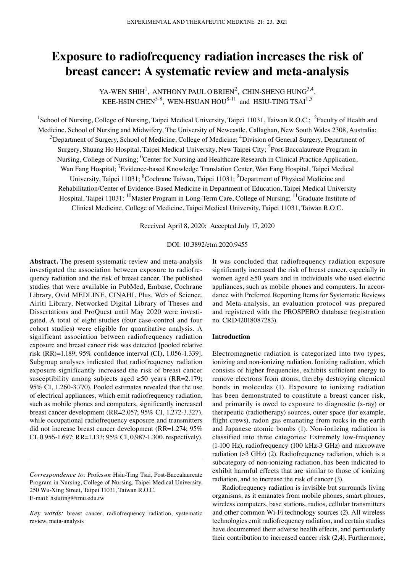# **Exposure to radiofrequency radiation increases the risk of breast cancer: A systematic review and meta‑analysis**

YA-WEN SHIH<sup>1</sup>, ANTHONY PAUL O'BRIEN<sup>2</sup>, CHIN-SHENG HUNG<sup>3,4</sup>, KEE-HSIN CHEN<sup>5-8</sup>, WEN-HSUAN HOU<sup>8-11</sup> and HSIU-TING TSAI<sup>1,5</sup>

<sup>1</sup>School of Nursing, College of Nursing, Taipei Medical University, Taipei 11031, Taiwan R.O.C.; <sup>2</sup>Faculty of Health and Medicine, School of Nursing and Midwifery, The University of Newcastle, Callaghan, New South Wales 2308, Australia;  $^3$ Department of Surgery, School of Medicine, College of Medicine;  $^4$ Division of General Surgery, Department of Surgery, Shuang Ho Hospital, Taipei Medical University, New Taipei City; <sup>5</sup>Post-Baccalaureate Program in Nursing, College of Nursing; <sup>6</sup>Center for Nursing and Healthcare Research in Clinical Practice Application, Wan Fang Hospital; <sup>7</sup> Evidence-based Knowledge Translation Center, Wan Fang Hospital, Taipei Medical University, Taipei 11031; <sup>8</sup>Cochrane Taiwan, Taipei 11031; <sup>9</sup>Department of Physical Medicine and Rehabilitation/Center of Evidence-Based Medicine in Department of Education, Taipei Medical University Hospital, Taipei 11031; <sup>10</sup>Master Program in Long-Term Care, College of Nursing; <sup>11</sup>Graduate Institute of Clinical Medicine, College of Medicine, Taipei Medical University, Taipei 11031, Taiwan R.O.C.

Received April 8, 2020; Accepted July 17, 2020

## DOI: 10.3892/etm.2020.9455

Abstract. The present systematic review and meta-analysis investigated the association between exposure to radiofrequency radiation and the risk of breast cancer. The published studies that were available in PubMed, Embase, Cochrane Library, Ovid MEDLINE, CINAHL Plus, Web of Science, Airiti Library, Networked Digital Library of Theses and Dissertations and ProQuest until May 2020 were investigated. A total of eight studies (four case‑control and four cohort studies) were eligible for quantitative analysis. A significant association between radiofrequency radiation exposure and breast cancer risk was detected [pooled relative risk (RR)=1.189; 95% confidence interval (CI), 1.056‑1.339]. Subgroup analyses indicated that radiofrequency radiation exposure significantly increased the risk of breast cancer susceptibility among subjects aged ≥50 years (RR=2.179; 95% CI, 1.260‑3.770). Pooled estimates revealed that the use of electrical appliances, which emit radiofrequency radiation, such as mobile phones and computers, significantly increased breast cancer development (RR=2.057; 95% CI, 1.272‑3.327), while occupational radiofrequency exposure and transmitters did not increase breast cancer development (RR=1.274; 95% CI, 0.956‑1.697; RR=1.133; 95% CI, 0.987‑1.300, respectively). It was concluded that radiofrequency radiation exposure significantly increased the risk of breast cancer, especially in women aged ≥50 years and in individuals who used electric appliances, such as mobile phones and computers. In accordance with Preferred Reporting Items for Systematic Reviews and Meta‑analysis, an evaluation protocol was prepared and registered with the PROSPERO database (registration no. CRD42018087283).

## **Introduction**

Electromagnetic radiation is categorized into two types, ionizing and non-ionizing radiation. Ionizing radiation, which consists of higher frequencies, exhibits sufficient energy to remove electrons from atoms, thereby destroying chemical bonds in molecules (1). Exposure to ionizing radiation has been demonstrated to constitute a breast cancer risk, and primarily is owed to exposure to diagnostic (x‑ray) or therapeutic (radiotherapy) sources, outer space (for example, flight crews), radon gas emanating from rocks in the earth and Japanese atomic bombs (1). Non‑ionizing radiation is classified into three categories: Extremely low‑frequency (1‑100 Hz), radiofrequency (100 kHz‑3 GHz) and microwave radiation (>3 GHz) (2). Radiofrequency radiation, which is a subcategory of non‑ionizing radiation, has been indicated to exhibit harmful effects that are similar to those of ionizing radiation, and to increase the risk of cancer (3).

Radiofrequency radiation is invisible but surrounds living organisms, as it emanates from mobile phones, smart phones, wireless computers, base stations, radios, cellular transmitters and other common Wi‑Fi technology sources (2). All wireless technologies emit radiofrequency radiation, and certain studies have documented their adverse health effects, and particularly their contribution to increased cancer risk (2,4). Furthermore,

*Correspondence to:* Professor Hsiu-Ting Tsai, Post‑Baccalaureate Program in Nursing, College of Nursing, Taipei Medical University, 250 Wu‑Xing Street, Taipei 11031, Taiwan R.O.C. E‑mail: hsiuting@tmu.edu.tw

*Key words:* breast cancer, radiofrequency radiation, systematic review, meta‑analysis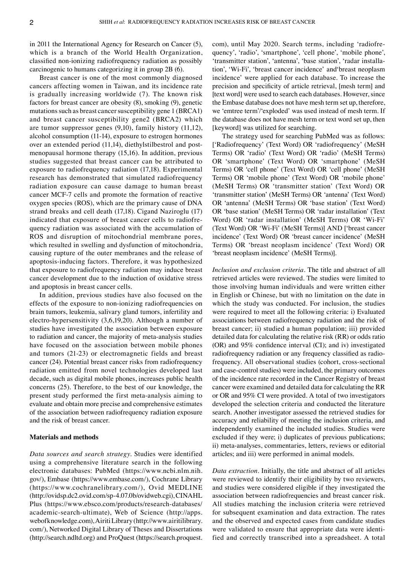in 2011 the International Agency for Research on Cancer (5), which is a branch of the World Health Organization, classified non‑ionizing radiofrequency radiation as possibly carcinogenic to humans categorizing it in group 2B (6).

Breast cancer is one of the most commonly diagnosed cancers affecting women in Taiwan, and its incidence rate is gradually increasing worldwide (7). The known risk factors for breast cancer are obesity (8), smoking (9), genetic mutations such as breast cancer susceptibility gene 1 (BRCA1) and breast cancer susceptibility gene2 (BRCA2) which are tumor suppressor genes (9,10), family history (11,12), alcohol consumption (11‑14), exposure to estrogen hormones over an extended period (11,14), diethylstilbestrol and postmenopausal hormone therapy (15,16). In addition, previous studies suggested that breast cancer can be attributed to exposure to radiofrequency radiation (17,18). Experimental research has demonstrated that simulated radiofrequency radiation exposure can cause damage to human breast cancer MCF‑7 cells and promote the formation of reactive oxygen species (ROS), which are the primary cause of DNA strand breaks and cell death (17,18). Cigand Naziroglu (17) indicated that exposure of breast cancer cells to radiofrequency radiation was associated with the accumulation of ROS and disruption of mitochondrial membrane pores, which resulted in swelling and dysfunction of mitochondria, causing rupture of the outer membranes and the release of apoptosis‑inducing factors. Therefore, it was hypothesized that exposure to radiofrequency radiation may induce breast cancer development due to the induction of oxidative stress and apoptosis in breast cancer cells.

In addition, previous studies have also focused on the effects of the exposure to non‑ionizing radiofrequencies on brain tumors, leukemia, salivary gland tumors, infertility and electro‑hypersensitivity (3,6,19,20). Although a number of studies have investigated the association between exposure to radiation and cancer, the majority of meta-analysis studies have focused on the association between mobile phones and tumors (21‑23) or electromagnetic fields and breast cancer (24). Potential breast cancer risks from radiofrequency radiation emitted from novel technologies developed last decade, such as digital mobile phones, increases public health concerns (25). Therefore, to the best of our knowledge, the present study performed the first meta‑analysis aiming to evaluate and obtain more precise and comprehensive estimates of the association between radiofrequency radiation exposure and the risk of breast cancer.

#### **Materials and methods**

*Data sources and search strategy.* Studies were identified using a comprehensive literature search in the following electronic databases: PubMed (https://www.ncbi.nlm.nih. gov/), Embase (https://www.embase.com/), Cochrane Library (https://www.cochranelibrary.com/), Ovid MEDLINE (http://ovidsp.dc2.ovid.com/sp‑4.07.0b/ovidweb.cgi), CINAHL Plus (https://www.ebsco.com/products/research-databases/ academic‑search‑ultimate), Web of Science (http://apps. webofknowledge.com), Airiti Library (http://www.airitilibrary. com/), Networked Digital Library of Theses and Dissertations (http://search.ndltd.org) and ProQuest (https://search.proquest. com), until May 2020. Search terms, including 'radiofrequency', 'radio', 'smartphone', 'cell phone', 'mobile phone', 'transmitter station', 'antenna', 'base station', 'radar installation', 'Wi‑Fi', 'breast cancer incidence' and'breast neoplasm incidence' were applied for each database. To increase the precision and specificity of article retrieval, [mesh term] and [text word] were used to search each databases. However, since the Embase database does not have mesh term set up, therefore, we 'emtree term'/'exploded' was used instead of mesh term. If the database does not have mesh term or text word set up, then [keyword] was utilized for searching.

The strategy used for searching PubMed was as follows: ['Radiofrequency' (Text Word) OR 'radiofrequency' (MeSH Terms) OR 'radio' (Text Word) OR 'radio' (MeSH Terms) OR 'smartphone' (Text Word) OR 'smartphone' (MeSH Terms) OR 'cell phone' (Text Word) OR 'cell phone' (MeSH Terms) OR 'mobile phone' (Text Word) OR 'mobile phone' (MeSH Terms) OR 'transmitter station' (Text Word) OR 'transmitter station' (MeSH Terms) OR 'antenna' (Text Word) OR 'antenna' (MeSH Terms) OR 'base station' (Text Word) OR 'base station' (MeSH Terms) OR 'radar installation' (Text Word) OR 'radar installation' (MeSH Terms) OR 'Wi-Fi' (Text Word) OR 'Wi‑Fi' (MeSH Terms)] AND ['breast cancer incidence' (Text Word) OR 'breast cancer incidence' (MeSH Terms) OR 'breast neoplasm incidence' (Text Word) OR 'breast neoplasm incidence' (MeSH Terms)].

*Inclusion and exclusion criteria.* The title and abstract of all retrieved articles were reviewed. The studies were limited to those involving human individuals and were written either in English or Chinese, but with no limitation on the date in which the study was conducted. For inclusion, the studies were required to meet all the following criteria: i) Evaluated associations between radiofrequency radiation and the risk of breast cancer; ii) studied a human population; iii) provided detailed data for calculating the relative risk (RR) or odds ratio (OR) and 95% confidence interval (CI); and iv) investigated radiofrequency radiation or any frequency classified as radiofrequency. All observational studies (cohort, cross‑sectional and case‑control studies) were included, the primary outcomes of the incidence rate recorded in the Cancer Registry of breast cancer were examined and detailed data for calculating the RR or OR and 95% CI were provided. A total of two investigators developed the selection criteria and conducted the literature search. Another investigator assessed the retrieved studies for accuracy and reliability of meeting the inclusion criteria, and independently examined the included studies. Studies were excluded if they were; i) duplicates of previous publications; ii) meta-analyses, commentaries, letters, reviews or editorial articles; and iii) were performed in animal models.

*Data extraction.* Initially, the title and abstract of all articles were reviewed to identify their eligibility by two reviewers, and studies were considered eligible if they investigated the association between radiofrequencies and breast cancer risk. All studies matching the inclusion criteria were retrieved for subsequent examination and data extraction. The rates and the observed and expected cases from candidate studies were validated to ensure that appropriate data were identified and correctly transcribed into a spreadsheet. A total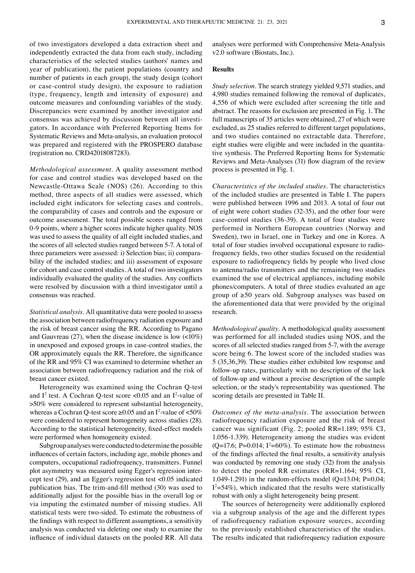of two investigators developed a data extraction sheet and independently extracted the data from each study, including characteristics of the selected studies (authors' names and year of publication), the patient populations (country and number of patients in each group), the study design (cohort or case‑control study design), the exposure to radiation (type, frequency, length and intensity of exposure) and outcome measures and confounding variables of the study. Discrepancies were examined by another investigator and consensus was achieved by discussion between all investigators. In accordance with Preferred Reporting Items for Systematic Reviews and Meta‑analysis, an evaluation protocol was prepared and registered with the PROSPERO database (registration no. CRD42018087283).

*Methodological assessment.* A quality assessment method for case and control studies was developed based on the Newcastle‑Ottawa Scale (NOS) (26). According to this method, three aspects of all studies were assessed, which included eight indicators for selecting cases and controls, the comparability of cases and controls and the exposure or outcome assessment. The total possible scores ranged from 0‑9 points, where a higher scores indicate higher quality. NOS was used to assess the quality of all eight included studies, and the scores of all selected studies ranged between 5‑7. A total of three parameters were assessed: i) Selection bias; ii) compara‑ bility of the included studies; and iii) assessment of exposure for cohort and case control studies. A total of two investigators individually evaluated the quality of the studies. Any conflicts were resolved by discussion with a third investigator until a consensus was reached.

*Statistical analysis.* All quantitative data were pooled to assess the association between radiofrequency radiation exposure and the risk of breast cancer using the RR. According to Pagano and Gauvreau  $(27)$ , when the disease incidence is low  $\left($ <10%) in unexposed and exposed groups in case‑control studies, the OR approximately equals the RR. Therefore, the significance of the RR and 95% CI was examined to determine whether an association between radiofrequency radiation and the risk of breast cancer existed.

Heterogeneity was examined using the Cochran Q-test and  $I^2$  test. A Cochran Q-test score < 0.05 and an  $I^2$ -value of >50% were considered to represent substantial heterogeneity, whereas a Cochran Q-test score  $\geq 0.05$  and an I<sup>2</sup>-value of <50% were considered to represent homogeneity across studies (28). According to the statistical heterogeneity, fixed‑effect models were performed when homogeneity existed.

Subgroup analyses were conducted to determine the possible influences of certain factors, including age, mobile phones and computers, occupational radiofrequency, transmitters. Funnel plot asymmetry was measured using Egger's regression intercept test (29), and an Egger's regression test <0.05 indicated publication bias. The trim‑and‑fill method (30) was used to additionally adjust for the possible bias in the overall log or via imputing the estimated number of missing studies. All statistical tests were two‑sided. To estimate the robustness of the findings with respect to different assumptions, a sensitivity analysis was conducted via deleting one study to examine the influence of individual datasets on the pooled RR. All data analyses were performed with Comprehensive Meta‑Analysis v2.0 software (Biostats, Inc.).

## **Results**

*Study selection.* The search strategy yielded 9,571 studies, and 4,980 studies remained following the removal of duplicates, 4,556 of which were excluded after screening the title and abstract. The reasons for exclusion are presented in Fig. 1. The full manuscripts of 35 articles were obtained, 27 of which were excluded, as 25 studies referred to different target populations, and two studies contained no extractable data. Therefore, eight studies were eligible and were included in the quantitative synthesis. The Preferred Reporting Items for Systematic Reviews and Meta‑Analyses (31) flow diagram of the review process is presented in Fig. 1.

*Characteristics of the included studies.* The characteristics of the included studies are presented in Table I. The papers were published between 1996 and 2013. A total of four out of eight were cohort studies (32‑35), and the other four were case‑control studies (36‑39). A total of four studies were performed in Northern European countries (Norway and Sweden), two in Israel, one in Turkey and one in Korea. A total of four studies involved occupational exposure to radiofrequency fields, two other studies focused on the residential exposure to radiofrequency fields by people who lived close to antenna/radio transmitters and the remaining two studies examined the use of electrical appliances, including mobile phones/computers. A total of three studies evaluated an age group of ≥50 years old. Subgroup analyses was based on the aforementioned data that were provided by the original research.

*Methodological quality.* A methodological quality assessment was performed for all included studies using NOS, and the scores of all selected studies ranged from 5‑7, with the average score being 6. The lowest score of the included studies was 5 (35,36,39). These studies either exhibited low response and follow‑up rates, particularly with no description of the lack of follow‑up and without a precise description of the sample selection, or the study's representability was questioned. The scoring details are presented in Table II.

*Outcomes of the meta‑analysis.* The association between radiofrequency radiation exposure and the risk of breast cancer was significant (Fig. 2; pooled RR=1.189; 95% CI, 1.056‑1.339). Heterogeneity among the studies was evident  $(Q=17.6; P=0.014; I<sup>2</sup>=60\%)$ . To estimate how the robustness of the findings affected the final results, a sensitivity analysis was conducted by removing one study (32) from the analysis to detect the pooled RR estimates (RR=1.164; 95% CI, 1.049-1.291) in the random-effects model  $(Q=13.04; P=0.04;$  $I^2$ =54%), which indicated that the results were statistically robust with only a slight heterogeneity being present.

The sources of heterogeneity were additionally explored via a subgroup analysis of the age and the different types of radiofrequency radiation exposure sources, according to the previously established characteristics of the studies. The results indicated that radiofrequency radiation exposure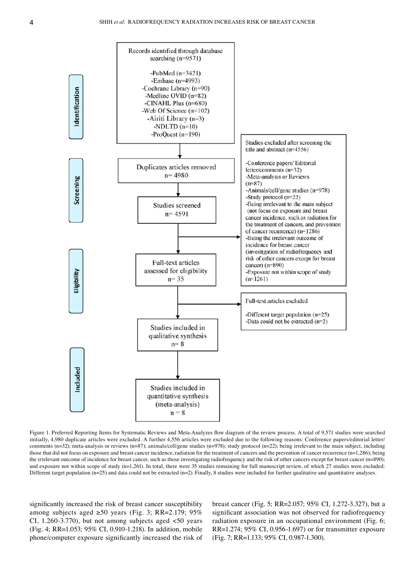

Figure 1. Preferred Reporting Items for Systematic Reviews and Meta-Analyzes flow diagram of the review process. A total of 9,571 studies were searched initially, 4,980 duplicate articles were excluded. A further 4,556 articles were excluded due to the following reasons: Conference papers/editorial letter/ comments (n=32); meta-analysis or reviews (n=87); animals/cell/gene studies (n=978); study protocol (n=22); being irrelevant to the main subject, including those that did not focus on exposure and breast cancer incidence, radiation for the treatment of cancers and the prevention of cancer recurrence (n=1,286); being the irrelevant outcome of incidence for breast cancer, such as those investigating radiofrequency and the risk of other cancers except for breast cancer (n=890); and exposure not within scope of study (n=1,261). In total, there were 35 studies remaining for full manuscript review, of which 27 studies were excluded: Different target population (n=25) and data could not be extracted (n=2). Finally, 8 studies were included for further qualitative and quantitative analyses.

significantly increased the risk of breast cancer susceptibility among subjects aged ≥50 years (Fig. 3; RR=2.179; 95% CI,  $1.260 - 3.770$ , but not among subjects aged  $\lt 50$  years (Fig. 4; RR=1.053; 95% CI, 0.910‑1.218). In addition, mobile phone/computer exposure significantly increased the risk of breast cancer (Fig. 5; RR=2.057; 95% CI, 1.272‑3.327), but a significant association was not observed for radiofrequency radiation exposure in an occupational environment (Fig. 6; RR=1.274; 95% CI, 0.956‑1.697) or for transmitter exposure (Fig. 7; RR=1.133; 95% CI, 0.987‑1.300).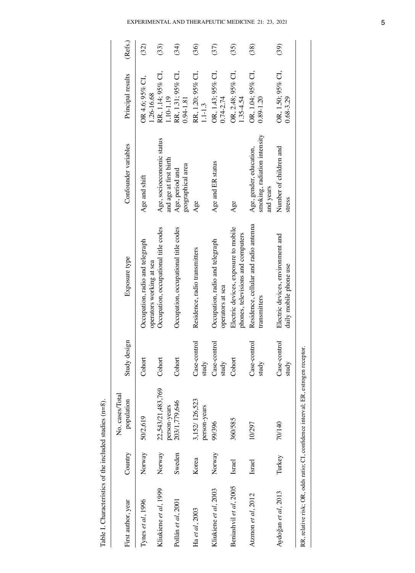| Ó               |
|-----------------|
| ふち こうさいきょう      |
| ちゅうこころ きょうこうしょう |
| į               |
| i<br>こうきょう つきかい |
| i               |
|                 |

| Table I. Characteristics of the included studies (n=8). |         |                                                                                   |                         |                                                                           |                                                                      |                                    |         |
|---------------------------------------------------------|---------|-----------------------------------------------------------------------------------|-------------------------|---------------------------------------------------------------------------|----------------------------------------------------------------------|------------------------------------|---------|
| First author, year                                      | Country | No. cases/Total<br>population                                                     | En<br>Study desi        | Exposure type                                                             | Confounder variables                                                 | Principal results                  | (Refs.) |
| Tynes et al, 1996                                       | Norway  | 50/2,619                                                                          | Cohort                  | Occupation, radio and telegraph<br>operators working at sea               | Age and shift                                                        | OR 4.6; 95% CI,<br>1.26-16.68      | (32)    |
| Kliukiene et al, 1999                                   | Norway  | 22,543/21,483,769<br>person-years                                                 | Cohort                  | Occupation, occupational title codes                                      | Age, socioeconomic status<br>and age at first birth                  | RR, 1.14; 95% CI,<br>1.10-1.19     | (33)    |
| Pollán et al, 2001                                      | Sweden  | 203/1,779,646                                                                     | Cohort                  | Occupation, occupational title codes                                      | geographical area<br>Age, period and                                 | RR, 1.31; 95% CI,<br>0.94-1.81     | (34)    |
| Ha et al, 2003                                          | Korea   | 3,152/126,523<br>person-years                                                     | Case-control<br>study   | Residence, radio transmitters                                             | Age                                                                  | RR, 1.20; 95% CI,<br>$1.1 - 1.3$   | (36)    |
| Kliukiene et al, 2003                                   | Norway  | 99/396                                                                            | þ<br>Case-cont<br>study | Occupation, radio and telegraph<br>operators at sea                       | Age and ER status                                                    | OR, 1.43; 95% CI,<br>$0.74 - 2.74$ | (37)    |
| Beniashvil et al, 2005                                  | Israel  | 360/585                                                                           | Cohort                  | Electric devices, exposure to mobile<br>phones, televisions and computers | Age                                                                  | OR, 2.48; 95% CI,<br>1.35-4.54     | (35)    |
| Atzmon et al, $2012$                                    | Israel  | 10/297                                                                            | Case-control<br>study   | Residence, cellular and radio antenna<br>transmitters                     | smoking, radiation intensity<br>Age, gender, education,<br>and years | OR, 1.04; 95% CI,<br>$0.89 - 1.20$ | (38)    |
| Aydoğan et al, 2013                                     | Turkey  | 70/140                                                                            | Case-control<br>study   | Electric devices, environment and<br>daily mobile phone use               | Number of children and<br>stress                                     | OR, 1.50; 95% CI,<br>$0.68 - 3.29$ | (39)    |
|                                                         |         | RR, relative risk; OR, odds ratio; CI, confidence interval; ER, estrogen receptor |                         |                                                                           |                                                                      |                                    |         |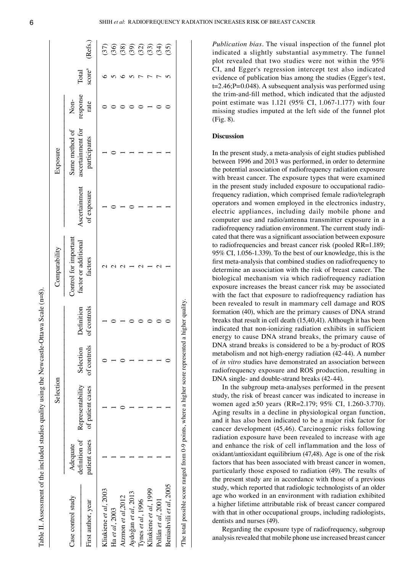| 6 |  |
|---|--|
|   |  |
|   |  |
|   |  |

Table II. Assessment of the included studies quality using the Newcastle-Ottawa Scale ( $n=8$ )

|                         |                           | Selection        |             |             | Comparability                                 |               | Exposure                            |                  |        |               |
|-------------------------|---------------------------|------------------|-------------|-------------|-----------------------------------------------|---------------|-------------------------------------|------------------|--------|---------------|
| Case control study      | definition of<br>Adequate | Representability | Selection   | Definition  | Control for important<br>factor or additional | Ascertainment | Same method of<br>ascertainment for | Non-             | Total  |               |
| First author, year      | patient cases             | of patient cases | of controls | of controls | factors                                       | of exposure   | participants                        | response<br>rate | scorea | (Refs.)       |
| Kliukiene et al, 2003   |                           |                  |             |             |                                               |               |                                     |                  |        |               |
| Ha et al, 2003          |                           |                  |             |             |                                               |               |                                     |                  |        |               |
| Atzmon et al 2012       |                           |                  |             |             |                                               |               |                                     |                  |        |               |
| Aydoğan et al, 2013     |                           |                  |             |             |                                               |               |                                     |                  |        | 5588800000000 |
| Tynes et $al$ , 1996    |                           |                  |             |             |                                               |               |                                     |                  |        |               |
| Kliukiene et al, 1999   |                           |                  |             |             |                                               |               |                                     |                  |        |               |
| Pollán et al, 2001      |                           |                  |             |             |                                               |               |                                     |                  |        |               |
| Beniashvili et al, 2005 |                           |                  |             |             |                                               |               |                                     |                  |        |               |

*Publication bias.* The visual inspection of the funnel plot indicated a slightly substantial asymmetry. The funnel plot revealed that two studies were not within the 95% CI, and Egger's regression intercept test also indicated evidence of publication bias among the studies (Egger's test, t=2.46;P=0.048). A subsequent analysis was performed using the trim‑and‑fill method, which indicated that the adjusted point estimate was  $1.121$  (95% CI, 1.067-1.177) with four missing studies imputed at the left side of the funnel plot (Fig. 8).

# **Discussion**

In the present study, a meta‑analysis of eight studies published between 1996 and 2013 was performed, in order to determine the potential association of radiofrequency radiation exposure with breast cancer. The exposure types that were examined in the present study included exposure to occupational radiofrequency radiation, which comprised female radio/telegraph operators and women employed in the electronics industry, electric appliances, including daily mobile phone and computer use and radio/antenna transmitter exposure in a radiofrequency radiation environment. The current study indicated that there was a significant association between exposure to radiofrequencies and breast cancer risk (pooled RR=1.189; 95% CI, 1.056‑1.339). To the best of our knowledge, this is the first meta‑analysis that combined studies on radiofrequency to determine an association with the risk of breast cancer. The biological mechanism via which radiofrequency radiation exposure increases the breast cancer risk may be associated with the fact that exposure to radiofrequency radiation has been revealed to result in mammary cell damage and ROS formation (40), which are the primary causes of DNA strand breaks that result in cell death (15,40,41). Although it has been indicated that non‑ionizing radiation exhibits in sufficient energy to cause DNA strand breaks, the primary cause of DNA strand breaks is considered to be a by‑product of ROS metabolism and not high-energy radiation (42-44). A number of *in vitro* studies have demonstrated an association between radiofrequency exposure and ROS production, resulting in DNA single- and double-strand breaks (42-44).

In the subgroup meta‑analyses performed in the present study, the risk of breast cancer was indicated to increase in women aged ≥50 years (RR=2.179; 95% CI, 1.260‑3.770). Aging results in a decline in physiological organ function, and it has also been indicated to be a major risk factor for cancer development (45,46). Carcinogenic risks following radiation exposure have been revealed to increase with age and enhance the risk of cell inflammation and the loss of oxidant/antioxidant equilibrium (47,48). Age is one of the risk factors that has been associated with breast cancer in women, particularly those exposed to radiation (49). The results of the present study are in accordance with those of a previous study, which reported that radiologic technologists of an older age who worked in an environment with radiation exhibited a higher lifetime attributable risk of breast cancer compared with that in other occupational groups, including radiologists, dentists and nurses (49).

Regarding the exposure type of radiofrequency, subgroup analysis revealed that mobile phone use increased breast cancer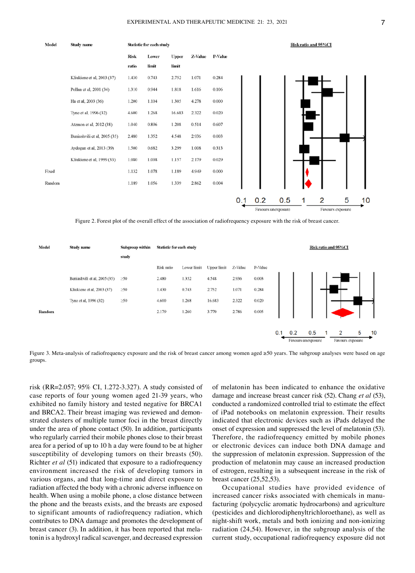

Figure 2. Forest plot of the overall effect of the association of radiofrequency exposure with the risk of breast cancer.



Figure 3. Meta-analysis of radiofrequency exposure and the risk of breast cancer among women aged ≥50 years. The subgroup analyses were based on age groups.

risk (RR=2.057; 95% CI, 1.272‑3.327). A study consisted of case reports of four young women aged 21‑39 years, who exhibited no family history and tested negative for BRCA1 and BRCA2. Their breast imaging was reviewed and demonstrated clusters of multiple tumor foci in the breast directly under the area of phone contact (50). In addition, participants who regularly carried their mobile phones close to their breast area for a period of up to 10 h a day were found to be at higher susceptibility of developing tumors on their breasts (50). Richter *et al* (51) indicated that exposure to a radiofrequency environment increased the risk of developing tumors in various organs, and that long‑time and direct exposure to radiation affected the body with a chronic adverse influence on health. When using a mobile phone, a close distance between the phone and the breasts exists, and the breasts are exposed to significant amounts of radiofrequency radiation, which contributes to DNA damage and promotes the development of breast cancer (3). In addition, it has been reported that melatonin is a hydroxyl radical scavenger, and decreased expression of melatonin has been indicated to enhance the oxidative damage and increase breast cancer risk (52). Chang *et al* (53), conducted a randomized controlled trial to estimate the effect of iPad notebooks on melatonin expression. Their results indicated that electronic devices such as iPads delayed the onset of expression and suppressed the level of melatonin (53). Therefore, the radiofrequency emitted by mobile phones or electronic devices can induce both DNA damage and the suppression of melatonin expression. Suppression of the production of melatonin may cause an increased production of estrogen, resulting in a subsequent increase in the risk of breast cancer (25,52,53).

Occupational studies have provided evidence of increased cancer risks associated with chemicals in manufacturing (polycyclic aromatic hydrocarbons) and agriculture (pesticides and dichlorodiphenyltrichloroethane), as well as night‑shift work, metals and both ionizing and non‑ionizing radiation (24,54). However, in the subgroup analysis of the current study, occupational radiofrequency exposure did not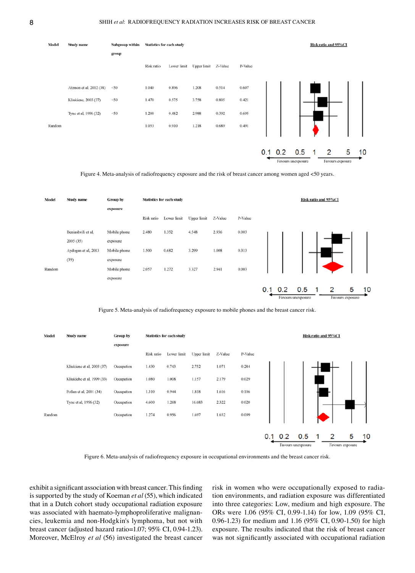

Figure 4. Meta-analysis of radiofrequency exposure and the risk of breast cancer among women aged <50 years.



Figure 5. Meta-analysis of radiofrequency exposure to mobile phones and the breast cancer risk.



Figure 6. Meta‑analysis of radiofrequency exposure in occupational environments and the breast cancer risk.

exhibit a significant association with breast cancer. This finding is supported by the study of Koeman *et al* (55), which indicated that in a Dutch cohort study occupational radiation exposure was associated with haemato-lymphoproliferative malignancies, leukemia and non‑Hodgkin's lymphoma, but not with breast cancer (adjusted hazard ratio=1.07; 95% CI, 0.94‑1.23). Moreover, McElroy *et al* (56) investigated the breast cancer risk in women who were occupationally exposed to radia‑ tion environments, and radiation exposure was differentiated into three categories: Low, medium and high exposure. The ORs were 1.06 (95% CI, 0.99‑1.14) for low, 1.09 (95% CI, 0.96‑1.23) for medium and 1.16 (95% CI, 0.90‑1.50) for high exposure. The results indicated that the risk of breast cancer was not significantly associated with occupational radiation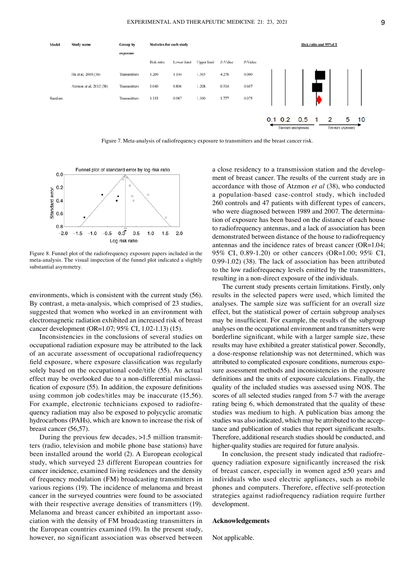

Figure 7. Meta-analysis of radiofrequency exposure to transmitters and the breast cancer risk.



Figure 8. Funnel plot of the radiofrequency exposure papers included in the meta‑analysis. The visual inspection of the funnel plot indicated a slightly substantial asymmetry.

environments, which is consistent with the current study (56). By contrast, a meta-analysis, which comprised of 23 studies, suggested that women who worked in an environment with electromagnetic radiation exhibited an increased risk of breast cancer development (OR=1.07; 95% CI, 1.02-1.13) (15).

Inconsistencies in the conclusions of several studies on occupational radiation exposure may be attributed to the lack of an accurate assessment of occupational radiofrequency field exposure, where exposure classification was regularly solely based on the occupational code/title (55). An actual effect may be overlooked due to a non-differential misclassification of exposure (55). In addition, the exposure definitions using common job codes/titles may be inaccurate (15,56). For example, electronic technicians exposed to radiofrequency radiation may also be exposed to polycyclic aromatic hydrocarbons (PAHs), which are known to increase the risk of breast cancer (56,57).

During the previous few decades, >1.5 million transmitters (radio, television and mobile phone base stations) have been installed around the world (2). A European ecological study, which surveyed 23 different European countries for cancer incidence, examined living residences and the density of frequency modulation (FM) broadcasting transmitters in various regions (19). The incidence of melanoma and breast cancer in the surveyed countries were found to be associated with their respective average densities of transmitters (19). Melanoma and breast cancer exhibited an important association with the density of FM broadcasting transmitters in the European countries examined (19). In the present study, however, no significant association was observed between a close residency to a transmission station and the development of breast cancer. The results of the current study are in accordance with those of Atzmon *et al* (38), who conducted a population‑based case‑control study, which included 260 controls and 47 patients with different types of cancers, who were diagnosed between 1989 and 2007. The determination of exposure has been based on the distance of each house to radiofrequency antennas, and a lack of association has been demonstrated between distance of the house to radiofrequency antennas and the incidence rates of breast cancer (OR=1.04; 95% CI, 0.89‑1.20) or other cancers (OR=1.00; 95% CI, 0.99‑1.02) (38). The lack of association has been attributed to the low radiofrequency levels emitted by the transmitters, resulting in a non-direct exposure of the individuals.

The current study presents certain limitations. Firstly, only results in the selected papers were used, which limited the analyses. The sample size was sufficient for an overall size effect, but the statistical power of certain subgroup analyses may be insufficient. For example, the results of the subgroup analyses on the occupational environment and transmitters were borderline significant, while with a larger sample size, these results may have exhibited a greater statistical power. Secondly, a dose‑response relationship was not determined, which was attributed to complicated exposure conditions, numerous exposure assessment methods and inconsistencies in the exposure definitions and the units of exposure calculations. Finally, the quality of the included studies was assessed using NOS. The scores of all selected studies ranged from 5-7 with the average rating being 6, which demonstrated that the quality of these studies was medium to high. A publication bias among the studies was also indicated, which may be attributed to the acceptance and publication of studies that report significant results. Therefore, additional research studies should be conducted, and higher-quality studies are required for future analysis.

In conclusion, the present study indicated that radiofrequency radiation exposure significantly increased the risk of breast cancer, especially in women aged ≥50 years and individuals who used electric appliances, such as mobile phones and computers. Therefore, effective self‑protection strategies against radiofrequency radiation require further development.

## **Acknowledgements**

Not applicable.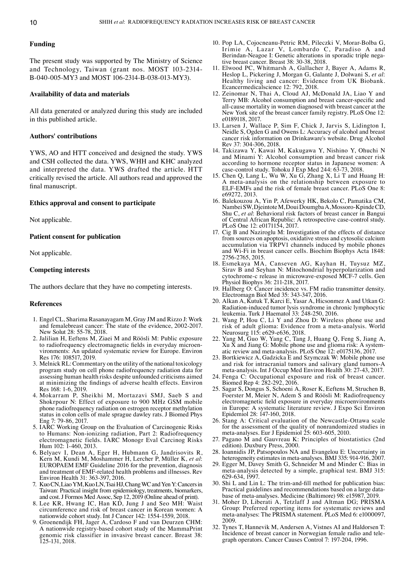#### **Funding**

The present study was supported by The Ministry of Science and Technology, Taiwan (grant nos. MOST 103-2314-B‑040‑005‑MY3 and MOST 106‑2314‑B‑038‑013‑MY3).

#### **Availability of data and materials**

All data generated or analyzed during this study are included in this published article.

# **Authors' contributions**

YWS, AO and HTT conceived and designed the study. YWS and CSH collected the data. YWS, WHH and KHC analyzed and interpreted the data. YWS drafted the article. HTT critically revised the article. All authors read and approved the final manuscript.

#### **Ethics approval and consent to participate**

Not applicable.

## **Patient consent for publication**

Not applicable.

## **Competing interests**

The authors declare that they have no competing interests.

#### **References**

- 1. Engel CL, Sharima Rasanayagam M, Gray JM and Rizzo J: Work and femalebreast cancer: The state of the evidence, 2002‑2017. New Solut 28: 55‑78, 2018.
- 2. Jalilian H, Eeftens M, Ziaei M and Röösli M: Public exposure to radiofrequency electromagnetic fields in everyday microenvironments: An updated systematic review for Europe. Environ Res 176: 108517, 2019.
- 3. MelnickRL: Commentary on the utility of the national toxicology program study on cell phone radiofrequency radiation data for assessing human health risks despite unfounded criticisms aimed at minimizing the findings of adverse health effects. Environ Res 168: 1‑6, 2019.
- 4. Mokarram P, Sheikhi M, Mortazavi SMJ, Saeb S and Shokrpour N: Effect of exposure to 900 MHz GSM mobile phone radiofrequency radiation on estrogen receptor methylation status in colon cells of male sprague dawley rats. J Biomed Phys Eng 7: 79‑86, 2017.
- 5. IARC Working Group on the Evaluation of Carcinogenic Risks to Humans: Non-ionizing radiation, Part 2: Radiofrequency electromagnetic fields. IARC Monogr Eval Carcinog Risks Hum 102: 1‑460, 2013.
- 6. Belyaev I, Dean A, Eger H, Hubmann G, Jandrisovits R, Kern M, Kundi M, Moshammer H, Lercher P, Müller K, *et al*: EUROPAEM EMF Guideline 2016 for the prevention, diagnosis and treatment of EMF‑related health problems and illnesses. Rev Environ Health 31: 363‑397, 2016.
- Kuo CN, Liao YM, Kuo LN, Tsai HJ, Chang WC and Yen Y: Cancers in Taiwan: Practical insight from epidemiology, treatments, biomarkers, and cost. J Formos Med Assoc, Sep 12, 2019 (Online ahead of print).
- 8. Lee KR, Hwang IC, Han KD, Jung J and Seo MH: Waist circumference and risk of breast cancer in Korean women: A nationwide cohort study. Int J Cancer 142: 1554‑1559, 2018.
- 9. Groenendijk FH, Jager A, Cardoso F and van Deurzen CHM: A nationwide registry‑based cohort study of the MammaPrint genomic risk classifier in invasive breast cancer. Breast 38: 125‑131, 2018.
- 10. Pop LA, Cojocneanu‑Petric RM, Pileczki V, Morar‑Bolba G, Irimie A, Lazar V, Lombardo C, Paradiso A and Berindan-Neagoe I: Genetic alterations in sporadic triple negative breast cancer. Breast 38: 30‑38, 2018.
- 11. Elwood PC, Whitmarsh A, Gallacher J, Bayer A, Adams R, Heslop L, Pickering J, Morgan G, Galante J, Dolwani S, *et al*: Healthy living and cancer: Evidence from UK Biobank. Ecancermedicalscience 12: 792, 2018.
- 12. Zeinomar N, Thai A, Cloud AJ, McDonald JA, Liao Y and Terry MB: Alcohol consumption and breast cancer‑specific and all‑cause mortality in women diagnosed with breast cancer at the New York site of the breast cancer family registry. PLoS One 12: e0189118, 2017.
- 13. Larsen J, Wallace P, Sim F, Chick J, Jarvis S, Lidington I, Neidle S, Ogden G and Owens L: Accuracy of alcohol and breast cancer risk information on Drinkaware's website. Drug Alcohol Rev 37: 304‑306, 2018.
- 14. Takizawa Y, Kawai M, Kakugawa Y, Nishino Y, Ohuchi N and Minami Y: Alcohol consumption and breast cancer risk according to hormone receptor status in Japanese women: A case‑control study. Tohoku J Exp Med 244: 63‑73, 2018.
- 15. Chen Q, Lang L, Wu W, Xu G, Zhang X, Li T and Huang H: A meta‑analysis on the relationship between exposure to ELF-EMFs and the risk of female breast cancer. PLoS One 8: e69272, 2013.
- 16. Balekouzou A, Yin P, Afewerky HK, Bekolo C, Pamatika CM, NambeiSW, DjeintoteM, Doui DoumgbaA, Mossoro‑KpindeCD, Shu C, *et al*: Behavioral risk factors of breast cancer in Bangui of Central African Republic: A retrospective case‑control study. PLoS One 12: e0171154, 2017.
- 17. Cig B and Naziroglu M: Investigation of the effects of distance from sources on apoptosis, oxidative stress and cytosolic calcium accumulation via TRPV1 channels induced by mobile phones and Wi‑Fi in breast cancer cells. Biochim Biophys Acta 1848: 2756‑2765, 2015.
- 18. Esmekaya MA, Canseven AG, Kayhan H, Tuysuz MZ, Sirav B and Seyhan N: Mitochondrial hyperpolarization and cytochrome‑c release in microwave‑exposed MCF‑7 cells. Gen Physiol Biophys 36: 211‑218, 2017.
- 19. Hallberg O: Cancer incidence vs. FM radio transmitter density. Electromagn Biol Med 35: 343‑347, 2016.
- 20. Alkan A, Kutuk T, Karci E, Yasar A, Hicsonmez A and Utkan G: Radiation‑induced tumor lysis syndrome in chronic lymphocytic leukemia. Turk J Haematol 33: 248‑250, 2016.
- 21. Wang P, Hou C, Li Y and Zhou D: Wireless phone use and risk of adult glioma: Evidence from a meta‑analysis. World Neurosurg 115: e629‑e636, 2018.
- 22. Yang M, Guo W, Yang C, Tang J, Huang Q, Feng S, Jiang A, Xu X and Jiang G: Mobile phone use and glioma risk: A system‑ atic review and meta‑analysis. PLoS One 12: e0175136, 2017.
- 23. Bortkiewicz A, Gadzicka E and Szymczak W: Mobile phone use and risk for intracranial tumors and salivary gland tumors‑A meta‑analysis. Int J Occup Med Environ Health 30: 27‑43, 2017.
- 24. Fenga C: Occupational exposure and risk of breast cancer. Biomed Rep 4: 282‑292, 2016.
- 25. Sagar S, Dongus S, Schoeni A, Roser K, Eeftens M, Struchen B, Foerster M, Meier N, Adem S and Röösli M: Radiofrequency electromagnetic field exposure in everyday microenvironments in Europe: A systematic literature review. J Expo Sci Environ Epidemiol 28: 147‑160, 2018.
- 26. Stang A: Critical evaluation of the Newcastle‑Ottawa scale for the assessment of the quality of nonrandomized studies in meta‑analyses. Eur J Epidemiol 25: 603‑605, 2010.
- 27. Pagano M and Gauvreau K: Principles of biostatistics (2nd edition). Duxbury Press, 2000.
- 28. Ioannidis JP, Patsopoulos NA and Evangelou E: Uncertainty in heterogeneity estimates in meta‑analyses. BMJ 335: 914‑916, 2007.
- 29. Egger M, Davey Smith G, Schneider M and Minder C: Bias in meta-analysis detected by a simple, graphical test. BMJ 315: 629‑634, 1997.
- 30. Shi L and Lin L: The trim‑and‑fill method for publication bias: Practical guidelines and recommendations based on a large database of meta‑analyses. Medicine (Baltimore) 98: e15987, 2019.
- 31. Moher D, Liberati A, Tetzlaff J and Altman DG; PRISMA Group: Preferred reporting items for systematic reviews and meta‑analyses: The PRISMA statement. PLoS Med 6: e1000097, 2009.
- 32. Tynes T, Hannevik M, Andersen A, Vistnes AI and Haldorsen T: Incidence of breast cancer in Norwegian female radio and tele‑ graph operators. Cancer Causes Control 7: 197‑204, 1996.